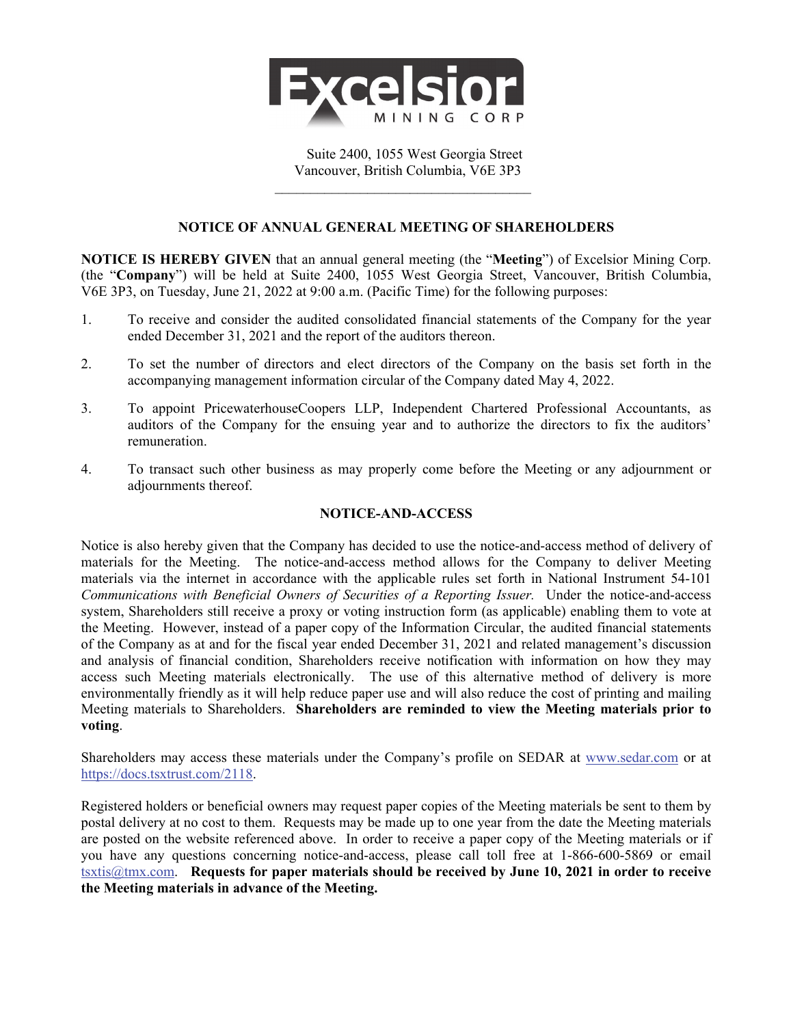

Suite 2400, 1055 West Georgia Street Vancouver, British Columbia, V6E 3P3

 $\mathcal{L}_\text{max}$ 

## **NOTICE OF ANNUAL GENERAL MEETING OF SHAREHOLDERS**

**NOTICE IS HEREBY GIVEN** that an annual general meeting (the "**Meeting**") of Excelsior Mining Corp. (the "**Company**") will be held at Suite 2400, 1055 West Georgia Street, Vancouver, British Columbia, V6E 3P3, on Tuesday, June 21, 2022 at 9:00 a.m. (Pacific Time) for the following purposes:

- 1. To receive and consider the audited consolidated financial statements of the Company for the year ended December 31, 2021 and the report of the auditors thereon.
- 2. To set the number of directors and elect directors of the Company on the basis set forth in the accompanying management information circular of the Company dated May 4, 2022.
- 3. To appoint PricewaterhouseCoopers LLP, Independent Chartered Professional Accountants, as auditors of the Company for the ensuing year and to authorize the directors to fix the auditors' remuneration.
- 4. To transact such other business as may properly come before the Meeting or any adjournment or adjournments thereof.

## **NOTICE-AND-ACCESS**

Notice is also hereby given that the Company has decided to use the notice-and-access method of delivery of materials for the Meeting. The notice-and-access method allows for the Company to deliver Meeting materials via the internet in accordance with the applicable rules set forth in National Instrument 54-101 *Communications with Beneficial Owners of Securities of a Reporting Issuer.* Under the notice-and-access system, Shareholders still receive a proxy or voting instruction form (as applicable) enabling them to vote at the Meeting. However, instead of a paper copy of the Information Circular, the audited financial statements of the Company as at and for the fiscal year ended December 31, 2021 and related management's discussion and analysis of financial condition, Shareholders receive notification with information on how they may access such Meeting materials electronically. The use of this alternative method of delivery is more environmentally friendly as it will help reduce paper use and will also reduce the cost of printing and mailing Meeting materials to Shareholders. **Shareholders are reminded to view the Meeting materials prior to voting**.

Shareholders may access these materials under the Company's profile on SEDAR at www.sedar.com or at https://docs.tsxtrust.com/2118.

Registered holders or beneficial owners may request paper copies of the Meeting materials be sent to them by postal delivery at no cost to them. Requests may be made up to one year from the date the Meeting materials are posted on the website referenced above. In order to receive a paper copy of the Meeting materials or if you have any questions concerning notice-and-access, please call toll free at 1-866-600-5869 or email tsxtis@tmx.com. **Requests for paper materials should be received by June 10, 2021 in order to receive the Meeting materials in advance of the Meeting.**